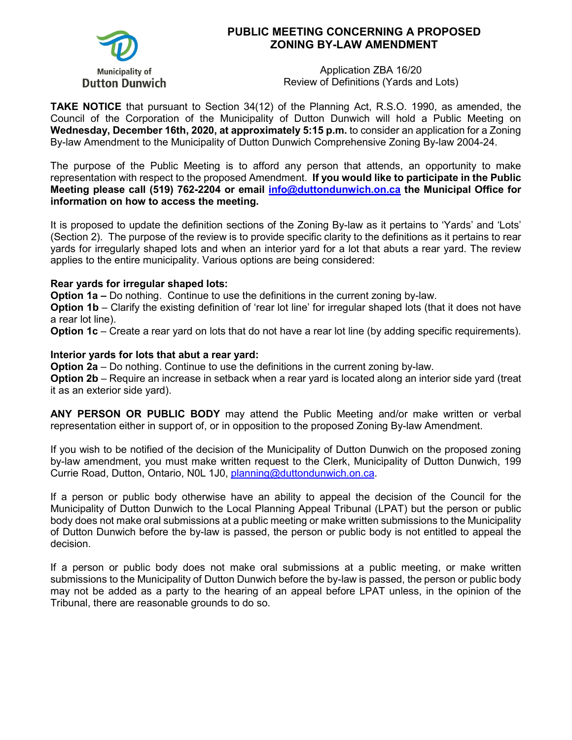

## **PUBLIC MEETING CONCERNING A PROPOSED ZONING BY-LAW AMENDMENT**

Application ZBA 16/20 Review of Definitions (Yards and Lots)

**TAKE NOTICE** that pursuant to Section 34(12) of the Planning Act, R.S.O. 1990, as amended, the Council of the Corporation of the Municipality of Dutton Dunwich will hold a Public Meeting on **Wednesday, December 16th, 2020, at approximately 5:15 p.m.** to consider an application for a Zoning By-law Amendment to the Municipality of Dutton Dunwich Comprehensive Zoning By-law 2004-24.

The purpose of the Public Meeting is to afford any person that attends, an opportunity to make representation with respect to the proposed Amendment. **If you would like to participate in the Public Meeting please call (519) 762-2204 or email [info@duttondunwich.on.ca](mailto:info@duttondunwich.on.ca) the Municipal Office for information on how to access the meeting.**

It is proposed to update the definition sections of the Zoning By-law as it pertains to 'Yards' and 'Lots' (Section 2). The purpose of the review is to provide specific clarity to the definitions as it pertains to rear yards for irregularly shaped lots and when an interior yard for a lot that abuts a rear yard. The review applies to the entire municipality. Various options are being considered:

## **Rear yards for irregular shaped lots:**

**Option 1a –** Do nothing. Continue to use the definitions in the current zoning by-law.

**Option 1b** – Clarify the existing definition of 'rear lot line' for irregular shaped lots (that it does not have a rear lot line).

**Option 1c** – Create a rear yard on lots that do not have a rear lot line (by adding specific requirements).

## **Interior yards for lots that abut a rear yard:**

**Option 2a** – Do nothing. Continue to use the definitions in the current zoning by-law.

**Option 2b** – Require an increase in setback when a rear yard is located along an interior side yard (treat it as an exterior side yard).

**ANY PERSON OR PUBLIC BODY** may attend the Public Meeting and/or make written or verbal representation either in support of, or in opposition to the proposed Zoning By-law Amendment.

If you wish to be notified of the decision of the Municipality of Dutton Dunwich on the proposed zoning by-law amendment, you must make written request to the Clerk, Municipality of Dutton Dunwich, 199 Currie Road, Dutton, Ontario, N0L 1J0, [planning@duttondunwich.on.ca.](mailto:planning@duttondunwich.on.ca)

If a person or public body otherwise have an ability to appeal the decision of the Council for the Municipality of Dutton Dunwich to the Local Planning Appeal Tribunal (LPAT) but the person or public body does not make oral submissions at a public meeting or make written submissions to the Municipality of Dutton Dunwich before the by-law is passed, the person or public body is not entitled to appeal the decision.

If a person or public body does not make oral submissions at a public meeting, or make written submissions to the Municipality of Dutton Dunwich before the by-law is passed, the person or public body may not be added as a party to the hearing of an appeal before LPAT unless, in the opinion of the Tribunal, there are reasonable grounds to do so.